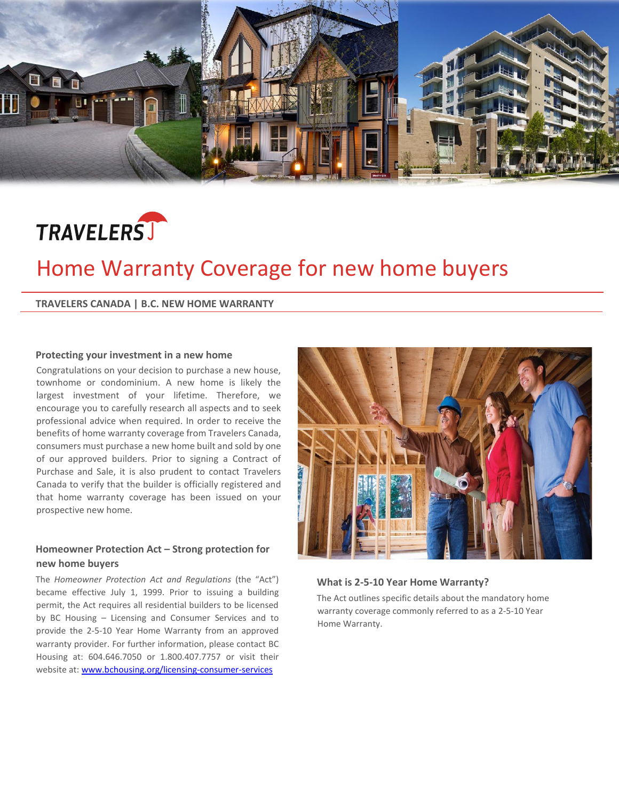



# Home Warranty Coverage for new home buyers

**TRAVELERS CANADA | B.C. NEW HOME WARRANTY**

#### **Protecting your investment in a new home**

Congratulations on your decision to purchase a new house, townhome or condominium. A new home is likely the largest investment of your lifetime. Therefore, we encourage you to carefully research all aspects and to seek professional advice when required. In order to receive the benefits of home warranty coverage from Travelers Canada, consumers must purchase a new home built and sold by one of our approved builders. Prior to signing a Contract of Purchase and Sale, it is also prudent to contact Travelers Canada to verify that the builder is officially registered and that home warranty coverage has been issued on your prospective new home.

### **Homeowner Protection Act – Strong protection for new home buyers**

The *Homeowner Protection Act and Regulations* (the "Act") became effective July 1, 1999. Prior to issuing a building permit, the Act requires all residential builders to be licensed by BC Housing – Licensing and Consumer Services and to provide the 2-5-10 Year Home Warranty from an approved warranty provider. For further information, please contact BC Housing at: 604.646.7050 or 1.800.407.7757 or visit their website at: [www.bchousing.org/licensing-consumer-services](http://www.bchousing.org/licensing-consumer-services)



**What is 2-5-10 Year Home Warranty?**

The Act outlines specific details about the mandatory home warranty coverage commonly referred to as a 2-5-10 Year Home Warranty.